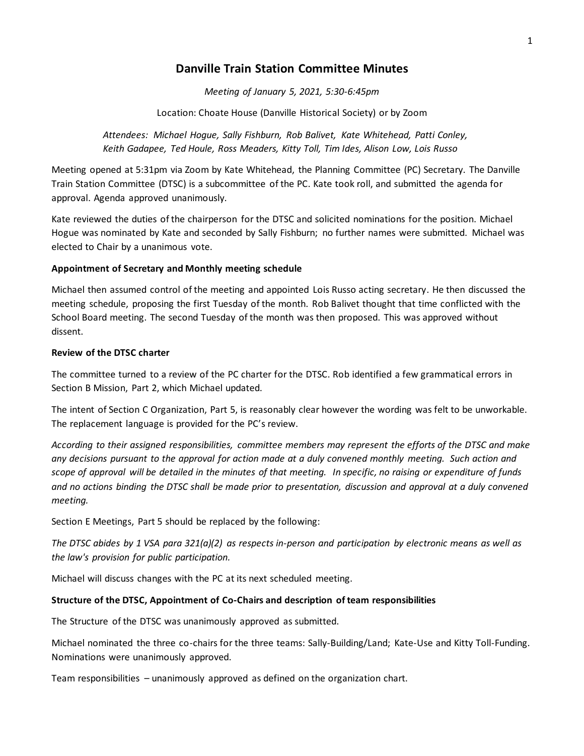# **Danville Train Station Committee Minutes**

*Meeting of January 5, 2021, 5:30-6:45pm*

Location: Choate House (Danville Historical Society) or by Zoom

*Attendees: Michael Hogue, Sally Fishburn, Rob Balivet, Kate Whitehead, Patti Conley, Keith Gadapee, Ted Houle, Ross Meaders, Kitty Toll, Tim Ides, Alison Low, Lois Russo*

Meeting opened at 5:31pm via Zoom by Kate Whitehead, the Planning Committee (PC) Secretary. The Danville Train Station Committee (DTSC) is a subcommittee of the PC. Kate took roll, and submitted the agenda for approval. Agenda approved unanimously.

Kate reviewed the duties of the chairperson for the DTSC and solicited nominations for the position. Michael Hogue was nominated by Kate and seconded by Sally Fishburn; no further names were submitted. Michael was elected to Chair by a unanimous vote.

# **Appointment of Secretary and Monthly meeting schedule**

Michael then assumed control of the meeting and appointed Lois Russo acting secretary. He then discussed the meeting schedule, proposing the first Tuesday of the month. Rob Balivet thought that time conflicted with the School Board meeting. The second Tuesday of the month was then proposed. This was approved without dissent.

# **Review of the DTSC charter**

The committee turned to a review of the PC charter for the DTSC. Rob identified a few grammatical errors in Section B Mission, Part 2, which Michael updated.

The intent of Section C Organization, Part 5, is reasonably clear however the wording was felt to be unworkable. The replacement language is provided for the PC's review.

*According to their assigned responsibilities, committee members may represent the efforts of the DTSC and make any decisions pursuant to the approval for action made at a duly convened monthly meeting. Such action and scope of approval will be detailed in the minutes of that meeting. In specific, no raising or expenditure of funds and no actions binding the DTSC shall be made prior to presentation, discussion and approval at a duly convened meeting.*

Section E Meetings, Part 5 should be replaced by the following:

*The DTSC abides by 1 VSA para 321(a)(2) as respects in-person and participation by electronic means as well as the law's provision for public participation.*

Michael will discuss changes with the PC at its next scheduled meeting.

# **Structure of the DTSC, Appointment of Co-Chairs and description of team responsibilities**

The Structure of the DTSC was unanimously approved as submitted.

Michael nominated the three co-chairs for the three teams: Sally-Building/Land; Kate-Use and Kitty Toll-Funding. Nominations were unanimously approved.

Team responsibilities – unanimously approved as defined on the organization chart.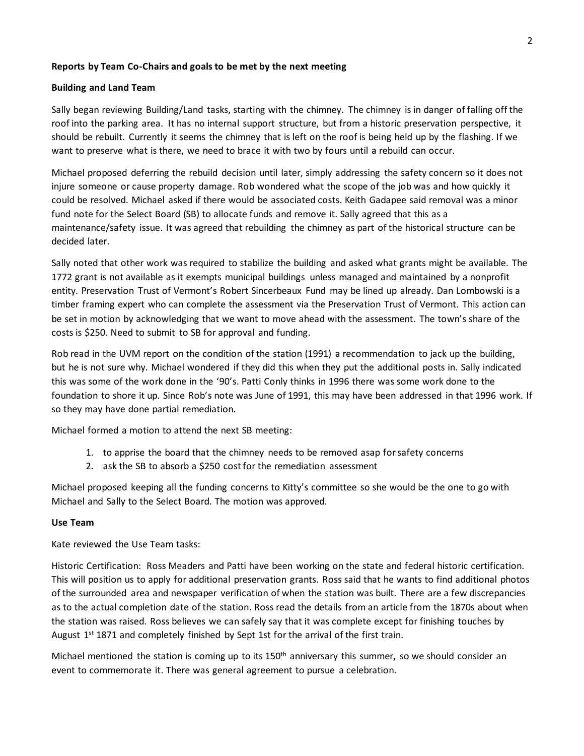# **Reports by Team Co-Chairs and goals to be met by the next meeting**

#### **Building and Land Team**

Sally began reviewing Building/Land tasks, starting with the chimney. The chimney is in danger of falling off the roof into the parking area. It has no internal support structure, but from a historic preservation perspective, it should be rebuilt. Currently it seems the chimney that is left on the roof is being held up by the flashing. If we want to preserve what is there, we need to brace it with two by fours until a rebuild can occur.

Michael proposed deferring the rebuild decision until later, simply addressing the safety concern so it does not injure someone or cause property damage. Rob wondered what the scope of the job was and how quickly it could be resolved. Michael asked if there would be associated costs. Keith Gadapee said removal was a minor fund note for the Select Board (SB) to allocate funds and remove it. Sally agreed that this as a maintenance/safety issue. It was agreed that rebuilding the chimney as part of the historical structure can be decided later.

Sally noted that other work was required to stabilize the building and asked what grants might be available. The 1772 grant is not available as it exempts municipal buildings unless managed and maintained by a nonprofit entity. Preservation Trust of Vermont's Robert Sincerbeaux Fund may be lined up already. Dan Lombowski is a timber framing expert who can complete the assessment via the Preservation Trust of Vermont. This action can be set in motion by acknowledging that we want to move ahead with the assessment. The town's share of the costs is \$250. Need to submit to SB for approval and funding.

Rob read in the UVM report on the condition of the station (1991) a recommendation to jack up the building, but he is not sure why. Michael wondered if they did this when they put the additional posts in. Sally indicated this was some of the work done in the '90's. Patti Conly thinks in 1996 there was some work done to the foundation to shore it up. Since Rob's note was June of 1991, this may have been addressed in that 1996 work. If so they may have done partial remediation.

Michael formed a motion to attend the next SB meeting:

- 1. to apprise the board that the chimney needs to be removed asap for safety concerns
- 2. ask the SB to absorb a \$250 cost for the remediation assessment

Michael proposed keeping all the funding concerns to Kitty's committee so she would be the one to go with Michael and Sally to the Select Board. The motion was approved.

# **Use Team**

Kate reviewed the Use Team tasks:

Historic Certification: Ross Meaders and Patti have been working on the state and federal historic certification. This will position us to apply for additional preservation grants. Ross said that he wants to find additional photos of the surrounded area and newspaper verification of when the station was built. There are a few discrepancies as to the actual completion date of the station. Ross read the details from an article from the 1870s about when the station was raised. Ross believes we can safely say that it was complete except for finishing touches by August 1<sup>st</sup> 1871 and completely finished by Sept 1st for the arrival of the first train.

Michael mentioned the station is coming up to its 150<sup>th</sup> anniversary this summer, so we should consider an event to commemorate it. There was general agreement to pursue a celebration.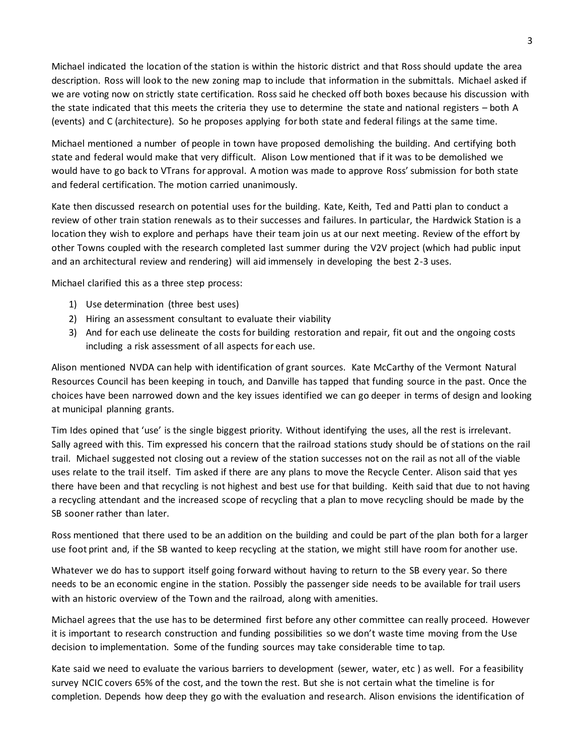Michael indicated the location of the station is within the historic district and that Ross should update the area description. Ross will look to the new zoning map to include that information in the submittals. Michael asked if we are voting now on strictly state certification. Ross said he checked off both boxes because his discussion with the state indicated that this meets the criteria they use to determine the state and national registers – both A (events) and C (architecture). So he proposes applying for both state and federal filings at the same time.

Michael mentioned a number of people in town have proposed demolishing the building. And certifying both state and federal would make that very difficult. Alison Low mentioned that if it was to be demolished we would have to go back to VTrans for approval. A motion was made to approve Ross' submission for both state and federal certification. The motion carried unanimously.

Kate then discussed research on potential uses for the building. Kate, Keith, Ted and Patti plan to conduct a review of other train station renewals as to their successes and failures. In particular, the Hardwick Station is a location they wish to explore and perhaps have their team join us at our next meeting. Review of the effort by other Towns coupled with the research completed last summer during the V2V project (which had public input and an architectural review and rendering) will aid immensely in developing the best 2-3 uses.

Michael clarified this as a three step process:

- 1) Use determination (three best uses)
- 2) Hiring an assessment consultant to evaluate their viability
- 3) And for each use delineate the costs for building restoration and repair, fit out and the ongoing costs including a risk assessment of all aspects for each use.

Alison mentioned NVDA can help with identification of grant sources. Kate McCarthy of the Vermont Natural Resources Council has been keeping in touch, and Danville has tapped that funding source in the past. Once the choices have been narrowed down and the key issues identified we can go deeper in terms of design and looking at municipal planning grants.

Tim Ides opined that 'use' is the single biggest priority. Without identifying the uses, all the rest is irrelevant. Sally agreed with this. Tim expressed his concern that the railroad stations study should be of stations on the rail trail. Michael suggested not closing out a review of the station successes not on the rail as not all of the viable uses relate to the trail itself. Tim asked if there are any plans to move the Recycle Center. Alison said that yes there have been and that recycling is not highest and best use for that building. Keith said that due to not having a recycling attendant and the increased scope of recycling that a plan to move recycling should be made by the SB sooner rather than later.

Ross mentioned that there used to be an addition on the building and could be part of the plan both for a larger use foot print and, if the SB wanted to keep recycling at the station, we might still have room for another use.

Whatever we do has to support itself going forward without having to return to the SB every year. So there needs to be an economic engine in the station. Possibly the passenger side needs to be available for trail users with an historic overview of the Town and the railroad, along with amenities.

Michael agrees that the use has to be determined first before any other committee can really proceed. However it is important to research construction and funding possibilities so we don't waste time moving from the Use decision to implementation. Some of the funding sources may take considerable time to tap.

Kate said we need to evaluate the various barriers to development (sewer, water, etc ) as well. For a feasibility survey NCIC covers 65% of the cost, and the town the rest. But she is not certain what the timeline is for completion. Depends how deep they go with the evaluation and research. Alison envisions the identification of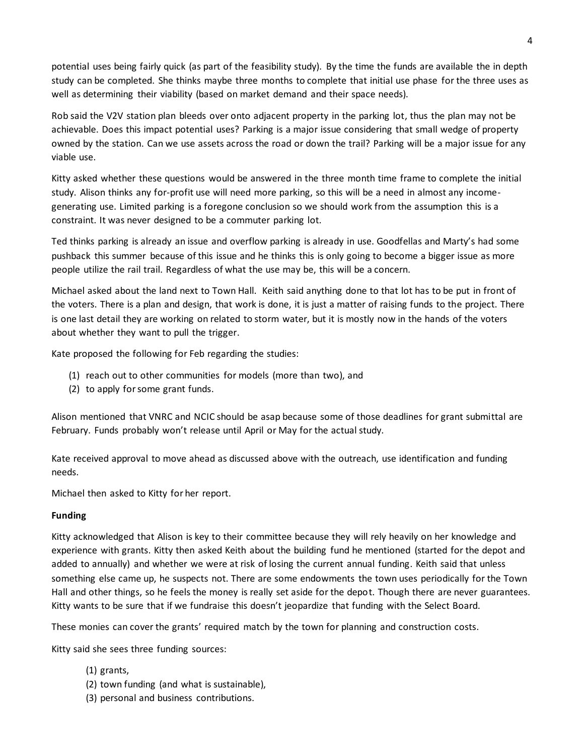potential uses being fairly quick (as part of the feasibility study). By the time the funds are available the in depth study can be completed. She thinks maybe three months to complete that initial use phase for the three uses as well as determining their viability (based on market demand and their space needs).

Rob said the V2V station plan bleeds over onto adjacent property in the parking lot, thus the plan may not be achievable. Does this impact potential uses? Parking is a major issue considering that small wedge of property owned by the station. Can we use assets across the road or down the trail? Parking will be a major issue for any viable use.

Kitty asked whether these questions would be answered in the three month time frame to complete the initial study. Alison thinks any for-profit use will need more parking, so this will be a need in almost any incomegenerating use. Limited parking is a foregone conclusion so we should work from the assumption this is a constraint. It was never designed to be a commuter parking lot.

Ted thinks parking is already an issue and overflow parking is already in use. Goodfellas and Marty's had some pushback this summer because of this issue and he thinks this is only going to become a bigger issue as more people utilize the rail trail. Regardless of what the use may be, this will be a concern.

Michael asked about the land next to Town Hall. Keith said anything done to that lot has to be put in front of the voters. There is a plan and design, that work is done, it is just a matter of raising funds to the project. There is one last detail they are working on related to storm water, but it is mostly now in the hands of the voters about whether they want to pull the trigger.

Kate proposed the following for Feb regarding the studies:

- (1) reach out to other communities for models (more than two), and
- (2) to apply for some grant funds.

Alison mentioned that VNRC and NCIC should be asap because some of those deadlines for grant submittal are February. Funds probably won't release until April or May for the actual study.

Kate received approval to move ahead as discussed above with the outreach, use identification and funding needs.

Michael then asked to Kitty for her report.

# **Funding**

Kitty acknowledged that Alison is key to their committee because they will rely heavily on her knowledge and experience with grants. Kitty then asked Keith about the building fund he mentioned (started for the depot and added to annually) and whether we were at risk of losing the current annual funding. Keith said that unless something else came up, he suspects not. There are some endowments the town uses periodically for the Town Hall and other things, so he feels the money is really set aside for the depot. Though there are never guarantees. Kitty wants to be sure that if we fundraise this doesn't jeopardize that funding with the Select Board.

These monies can cover the grants' required match by the town for planning and construction costs.

Kitty said she sees three funding sources:

- (1) grants,
- (2) town funding (and what is sustainable),
- (3) personal and business contributions.